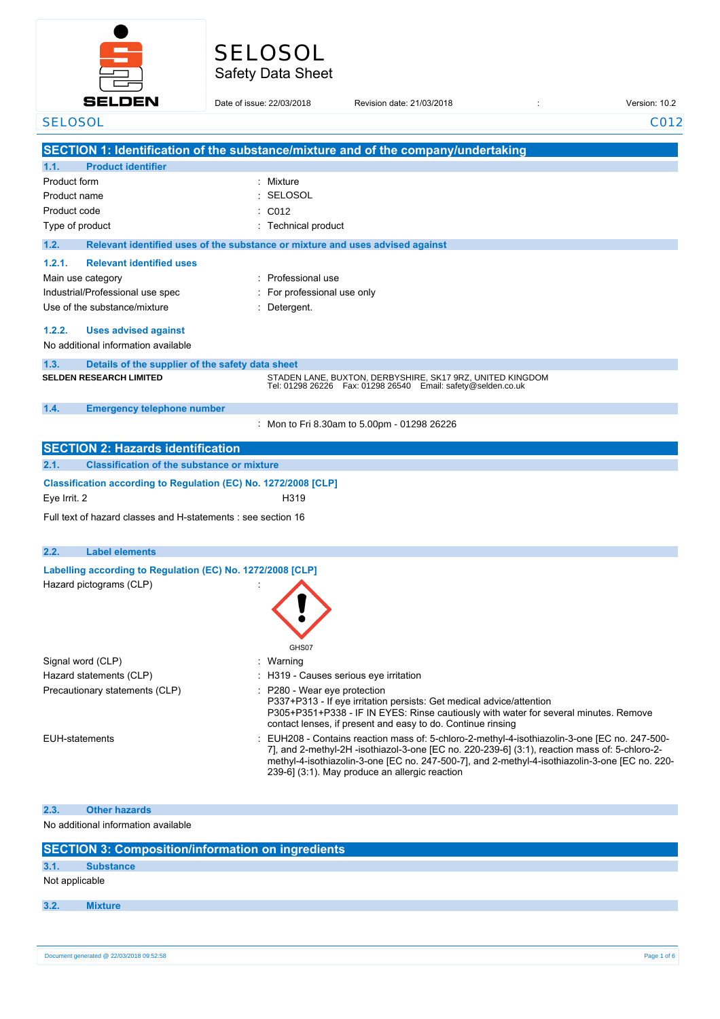

# Safety Data Sheet SELOSOL

|                      | <b>SELDEN</b>                                                                      | Date of issue: 22/03/2018    | Revision date: 21/03/2018                                                                                                                                                                                                                                                                                                                        | Version: 10.2 |
|----------------------|------------------------------------------------------------------------------------|------------------------------|--------------------------------------------------------------------------------------------------------------------------------------------------------------------------------------------------------------------------------------------------------------------------------------------------------------------------------------------------|---------------|
| <b>SELOSOL</b>       |                                                                                    |                              |                                                                                                                                                                                                                                                                                                                                                  | C012          |
|                      |                                                                                    |                              |                                                                                                                                                                                                                                                                                                                                                  |               |
|                      | <b>Product identifier</b>                                                          |                              | SECTION 1: Identification of the substance/mixture and of the company/undertaking                                                                                                                                                                                                                                                                |               |
| 1.1.<br>Product form |                                                                                    | Mixture                      |                                                                                                                                                                                                                                                                                                                                                  |               |
| Product name         |                                                                                    | <b>SELOSOL</b>               |                                                                                                                                                                                                                                                                                                                                                  |               |
| Product code         |                                                                                    | C012                         |                                                                                                                                                                                                                                                                                                                                                  |               |
|                      | Type of product                                                                    | Technical product            |                                                                                                                                                                                                                                                                                                                                                  |               |
| 1.2.                 |                                                                                    |                              | Relevant identified uses of the substance or mixture and uses advised against                                                                                                                                                                                                                                                                    |               |
| 1.2.1.               | <b>Relevant identified uses</b>                                                    |                              |                                                                                                                                                                                                                                                                                                                                                  |               |
|                      | Main use category                                                                  | : Professional use           |                                                                                                                                                                                                                                                                                                                                                  |               |
|                      | Industrial/Professional use spec                                                   | For professional use only    |                                                                                                                                                                                                                                                                                                                                                  |               |
|                      | Use of the substance/mixture                                                       | Detergent.                   |                                                                                                                                                                                                                                                                                                                                                  |               |
| 1.2.2.               |                                                                                    |                              |                                                                                                                                                                                                                                                                                                                                                  |               |
|                      | <b>Uses advised against</b><br>No additional information available                 |                              |                                                                                                                                                                                                                                                                                                                                                  |               |
|                      |                                                                                    |                              |                                                                                                                                                                                                                                                                                                                                                  |               |
| 1.3.                 | Details of the supplier of the safety data sheet<br><b>SELDEN RESEARCH LIMITED</b> |                              | STADEN LANE, BUXTON, DERBYSHIRE, SK17 9RZ, UNITED KINGDOM                                                                                                                                                                                                                                                                                        |               |
|                      |                                                                                    |                              | Tel: 01298 26226    Fax: 01298 26540    Email: safety@selden.co.uk                                                                                                                                                                                                                                                                               |               |
| 1.4.                 | <b>Emergency telephone number</b>                                                  |                              |                                                                                                                                                                                                                                                                                                                                                  |               |
|                      |                                                                                    |                              | Mon to Fri 8.30am to 5.00pm - 01298 26226                                                                                                                                                                                                                                                                                                        |               |
|                      | <b>SECTION 2: Hazards identification</b>                                           |                              |                                                                                                                                                                                                                                                                                                                                                  |               |
| 2.1.                 | <b>Classification of the substance or mixture</b>                                  |                              |                                                                                                                                                                                                                                                                                                                                                  |               |
|                      | Classification according to Regulation (EC) No. 1272/2008 [CLP]                    |                              |                                                                                                                                                                                                                                                                                                                                                  |               |
| Eye Irrit. 2         |                                                                                    | H319                         |                                                                                                                                                                                                                                                                                                                                                  |               |
|                      | Full text of hazard classes and H-statements : see section 16                      |                              |                                                                                                                                                                                                                                                                                                                                                  |               |
|                      |                                                                                    |                              |                                                                                                                                                                                                                                                                                                                                                  |               |
| 2.2.                 | <b>Label elements</b>                                                              |                              |                                                                                                                                                                                                                                                                                                                                                  |               |
|                      | Labelling according to Regulation (EC) No. 1272/2008 [CLP]                         |                              |                                                                                                                                                                                                                                                                                                                                                  |               |
|                      | Hazard pictograms (CLP)                                                            |                              |                                                                                                                                                                                                                                                                                                                                                  |               |
|                      |                                                                                    |                              |                                                                                                                                                                                                                                                                                                                                                  |               |
|                      |                                                                                    |                              |                                                                                                                                                                                                                                                                                                                                                  |               |
|                      |                                                                                    |                              |                                                                                                                                                                                                                                                                                                                                                  |               |
|                      |                                                                                    | GHS07                        |                                                                                                                                                                                                                                                                                                                                                  |               |
|                      | Signal word (CLP)                                                                  | Warning                      |                                                                                                                                                                                                                                                                                                                                                  |               |
|                      | Hazard statements (CLP)                                                            |                              | : H319 - Causes serious eye irritation                                                                                                                                                                                                                                                                                                           |               |
|                      | Precautionary statements (CLP)                                                     | : P280 - Wear eye protection |                                                                                                                                                                                                                                                                                                                                                  |               |
|                      |                                                                                    |                              | P337+P313 - If eye irritation persists: Get medical advice/attention<br>P305+P351+P338 - IF IN EYES: Rinse cautiously with water for several minutes. Remove<br>contact lenses, if present and easy to do. Continue rinsing                                                                                                                      |               |
|                      | <b>EUH-statements</b>                                                              |                              | EUH208 - Contains reaction mass of: 5-chloro-2-methyl-4-isothiazolin-3-one [EC no. 247-500-<br>7], and 2-methyl-2H -isothiazol-3-one [EC no. 220-239-6] (3:1), reaction mass of: 5-chloro-2-<br>methyl-4-isothiazolin-3-one [EC no. 247-500-7], and 2-methyl-4-isothiazolin-3-one [EC no. 220-<br>239-6] (3:1). May produce an allergic reaction |               |
|                      |                                                                                    |                              |                                                                                                                                                                                                                                                                                                                                                  |               |
| 2.3.                 | <b>Other hazards</b>                                                               |                              |                                                                                                                                                                                                                                                                                                                                                  |               |

No additional information available

| <b>SECTION 3: Composition/information on ingredients</b> |                  |  |  |
|----------------------------------------------------------|------------------|--|--|
| 3.1.                                                     | <b>Substance</b> |  |  |
| Not applicable                                           |                  |  |  |
| 3.2.                                                     | <b>Mixture</b>   |  |  |
|                                                          |                  |  |  |
|                                                          |                  |  |  |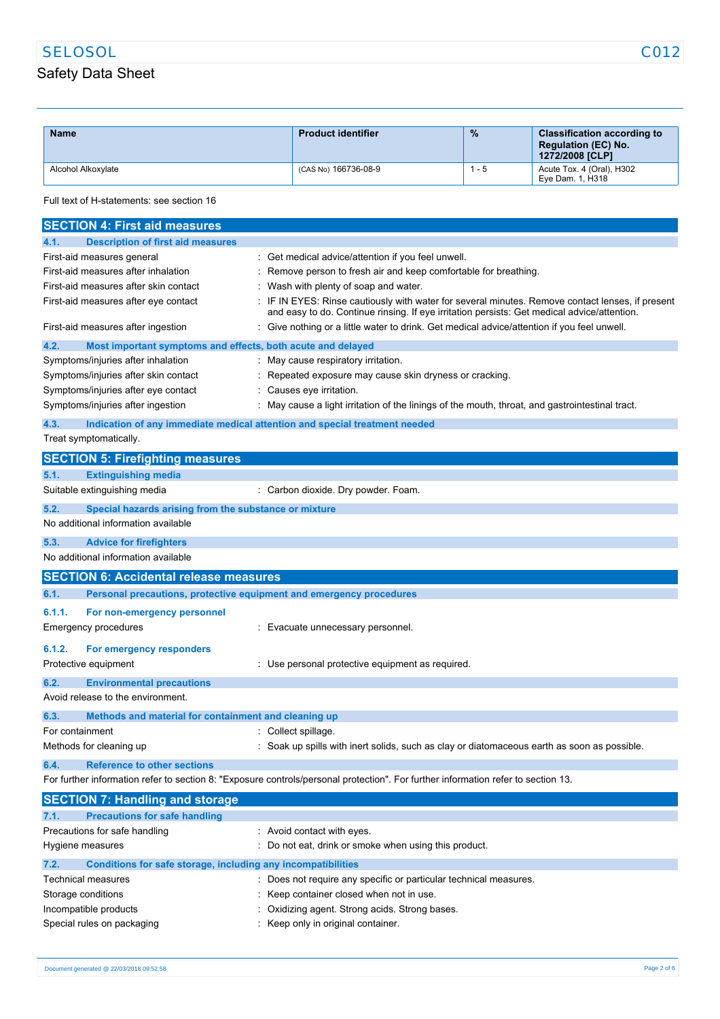## SELOSOL CO12

## Safety Data Sheet

| <b>Name</b>        | <b>Product identifier</b> | $\frac{9}{6}$ | <b>Classification according to</b><br><b>Regulation (EC) No.</b><br><b>1272/2008 [CLP]</b> |
|--------------------|---------------------------|---------------|--------------------------------------------------------------------------------------------|
| Alcohol Alkoxylate | (CAS No) 166736-08-9      | $1 - 5$       | Acute Tox. 4 (Oral), H302<br>Eye Dam. 1, H318                                              |

Full text of H-statements: see section 16

| <b>SECTION 4: First aid measures</b>                                                                                              |                                                                                                                                                                                               |  |  |
|-----------------------------------------------------------------------------------------------------------------------------------|-----------------------------------------------------------------------------------------------------------------------------------------------------------------------------------------------|--|--|
| <b>Description of first aid measures</b><br>4.1.                                                                                  |                                                                                                                                                                                               |  |  |
| First-aid measures general                                                                                                        | : Get medical advice/attention if you feel unwell.                                                                                                                                            |  |  |
| First-aid measures after inhalation                                                                                               | Remove person to fresh air and keep comfortable for breathing.                                                                                                                                |  |  |
| First-aid measures after skin contact                                                                                             | Wash with plenty of soap and water.                                                                                                                                                           |  |  |
| First-aid measures after eye contact                                                                                              | IF IN EYES: Rinse cautiously with water for several minutes. Remove contact lenses, if present<br>and easy to do. Continue rinsing. If eye irritation persists: Get medical advice/attention. |  |  |
| First-aid measures after ingestion                                                                                                | : Give nothing or a little water to drink. Get medical advice/attention if you feel unwell.                                                                                                   |  |  |
| 4.2.<br>Most important symptoms and effects, both acute and delayed                                                               |                                                                                                                                                                                               |  |  |
| Symptoms/injuries after inhalation                                                                                                | : May cause respiratory irritation.                                                                                                                                                           |  |  |
| Symptoms/injuries after skin contact                                                                                              | Repeated exposure may cause skin dryness or cracking.                                                                                                                                         |  |  |
| Symptoms/injuries after eye contact                                                                                               | Causes eye irritation.                                                                                                                                                                        |  |  |
| Symptoms/injuries after ingestion                                                                                                 | May cause a light irritation of the linings of the mouth, throat, and gastrointestinal tract.                                                                                                 |  |  |
| 4.3.                                                                                                                              | Indication of any immediate medical attention and special treatment needed                                                                                                                    |  |  |
| Treat symptomatically.                                                                                                            |                                                                                                                                                                                               |  |  |
| <b>SECTION 5: Firefighting measures</b>                                                                                           |                                                                                                                                                                                               |  |  |
| <b>Extinguishing media</b><br>5.1.                                                                                                |                                                                                                                                                                                               |  |  |
| Suitable extinguishing media                                                                                                      | : Carbon dioxide. Dry powder. Foam.                                                                                                                                                           |  |  |
| 5.2.<br>Special hazards arising from the substance or mixture                                                                     |                                                                                                                                                                                               |  |  |
| No additional information available                                                                                               |                                                                                                                                                                                               |  |  |
| 5.3.<br><b>Advice for firefighters</b>                                                                                            |                                                                                                                                                                                               |  |  |
| No additional information available                                                                                               |                                                                                                                                                                                               |  |  |
| <b>SECTION 6: Accidental release measures</b>                                                                                     |                                                                                                                                                                                               |  |  |
| 6.1.<br>Personal precautions, protective equipment and emergency procedures                                                       |                                                                                                                                                                                               |  |  |
| 6.1.1.<br>For non-emergency personnel                                                                                             |                                                                                                                                                                                               |  |  |
| Emergency procedures                                                                                                              | Evacuate unnecessary personnel.                                                                                                                                                               |  |  |
| 6.1.2.<br>For emergency responders                                                                                                |                                                                                                                                                                                               |  |  |
| Protective equipment                                                                                                              | : Use personal protective equipment as required.                                                                                                                                              |  |  |
| 6.2.<br><b>Environmental precautions</b>                                                                                          |                                                                                                                                                                                               |  |  |
| Avoid release to the environment.                                                                                                 |                                                                                                                                                                                               |  |  |
| 6.3.<br>Methods and material for containment and cleaning up                                                                      |                                                                                                                                                                                               |  |  |
| For containment                                                                                                                   | : Collect spillage.                                                                                                                                                                           |  |  |
| Methods for cleaning up                                                                                                           | Soak up spills with inert solids, such as clay or diatomaceous earth as soon as possible.                                                                                                     |  |  |
| <b>Reference to other sections</b><br>6.4.                                                                                        |                                                                                                                                                                                               |  |  |
| For further information refer to section 8: "Exposure controls/personal protection". For further information refer to section 13. |                                                                                                                                                                                               |  |  |
| <b>SECTION 7: Handling and storage</b>                                                                                            |                                                                                                                                                                                               |  |  |
| <b>Precautions for safe handling</b><br>7.1.                                                                                      |                                                                                                                                                                                               |  |  |
| Precautions for safe handling<br>: Avoid contact with eyes.                                                                       |                                                                                                                                                                                               |  |  |
| Hygiene measures<br>: Do not eat, drink or smoke when using this product.                                                         |                                                                                                                                                                                               |  |  |
| Conditions for safe storage, including any incompatibilities                                                                      |                                                                                                                                                                                               |  |  |
|                                                                                                                                   |                                                                                                                                                                                               |  |  |
| 7.2.                                                                                                                              |                                                                                                                                                                                               |  |  |
| Technical measures                                                                                                                | Does not require any specific or particular technical measures.                                                                                                                               |  |  |
| Storage conditions<br>Incompatible products                                                                                       | : Keep container closed when not in use.<br>: Oxidizing agent. Strong acids. Strong bases.                                                                                                    |  |  |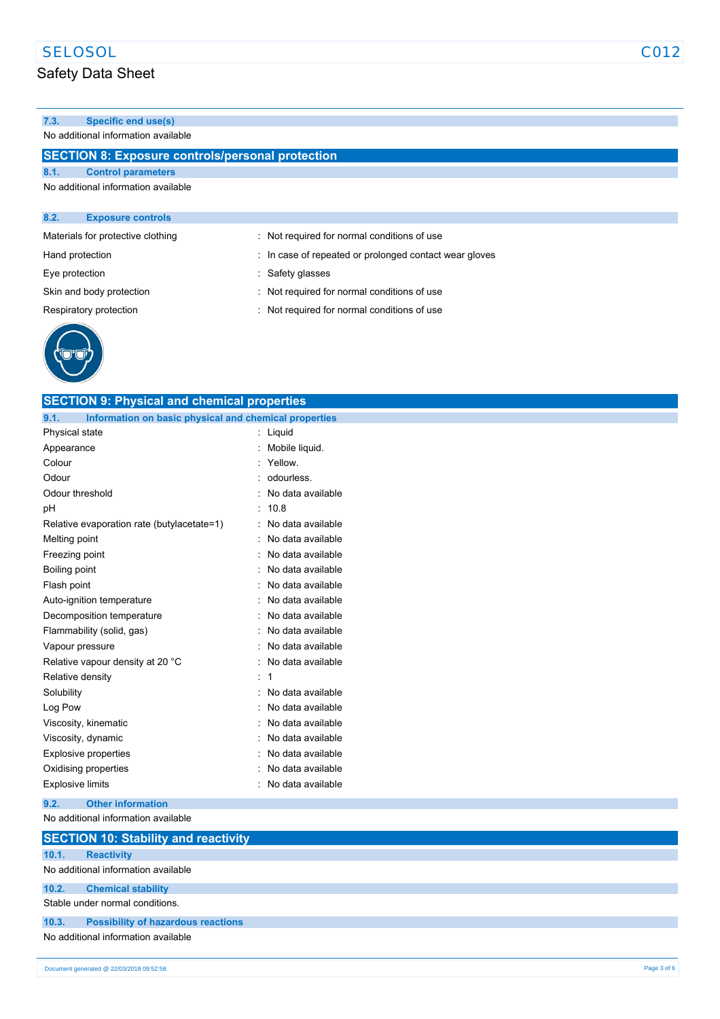### Safety Data Sheet

### **7.3. Specific end use(s)**

No additional information available

### **SECTION 8: Exposure controls/personal protection**

|  | 8.1. |  | <b>Control parameters</b> |
|--|------|--|---------------------------|
|--|------|--|---------------------------|

No additional information available

| 8.2.            | <b>Exposure controls</b>          |                                                        |
|-----------------|-----------------------------------|--------------------------------------------------------|
|                 | Materials for protective clothing | : Not required for normal conditions of use            |
| Hand protection |                                   | : In case of repeated or prolonged contact wear gloves |
| Eye protection  |                                   | : Safety glasses                                       |
|                 | Skin and body protection          | : Not required for normal conditions of use            |
|                 | Respiratory protection            | : Not required for normal conditions of use            |
|                 |                                   |                                                        |



| <b>SECTION 9: Physical and chemical properties</b>            |                     |  |  |
|---------------------------------------------------------------|---------------------|--|--|
| Information on basic physical and chemical properties<br>9.1. |                     |  |  |
| Physical state                                                | : Liquid            |  |  |
| Appearance                                                    | Mobile liquid.      |  |  |
| Colour                                                        | Yellow.             |  |  |
| Odour                                                         | odourless.          |  |  |
| Odour threshold                                               | No data available   |  |  |
| pH                                                            | 10.8                |  |  |
| Relative evaporation rate (butylacetate=1)                    | No data available   |  |  |
| Melting point                                                 | No data available   |  |  |
| Freezing point                                                | No data available   |  |  |
| Boiling point                                                 | No data available   |  |  |
| Flash point                                                   | No data available   |  |  |
| Auto-ignition temperature                                     | No data available   |  |  |
| Decomposition temperature                                     | No data available   |  |  |
| Flammability (solid, gas)                                     | No data available   |  |  |
| Vapour pressure                                               | No data available   |  |  |
| Relative vapour density at 20 °C                              | No data available   |  |  |
| Relative density                                              | -1                  |  |  |
| Solubility                                                    | No data available   |  |  |
| Log Pow                                                       | No data available   |  |  |
| Viscosity, kinematic                                          | No data available   |  |  |
| Viscosity, dynamic                                            | No data available   |  |  |
| <b>Explosive properties</b>                                   | No data available   |  |  |
| Oxidising properties                                          | No data available   |  |  |
| <b>Explosive limits</b>                                       | : No data available |  |  |
| <b>Other information</b><br>9.2.                              |                     |  |  |
| No additional information available                           |                     |  |  |
| <b>SECTION 10: Stability and reactivity</b>                   |                     |  |  |
| 10.1.<br><b>Reactivity</b>                                    |                     |  |  |
| No additional information available                           |                     |  |  |
| 10.2.<br><b>Chemical stability</b>                            |                     |  |  |
| Stable under normal conditions.                               |                     |  |  |
| 10.3.<br><b>Possibility of hazardous reactions</b>            |                     |  |  |
| No additional information available                           |                     |  |  |
|                                                               |                     |  |  |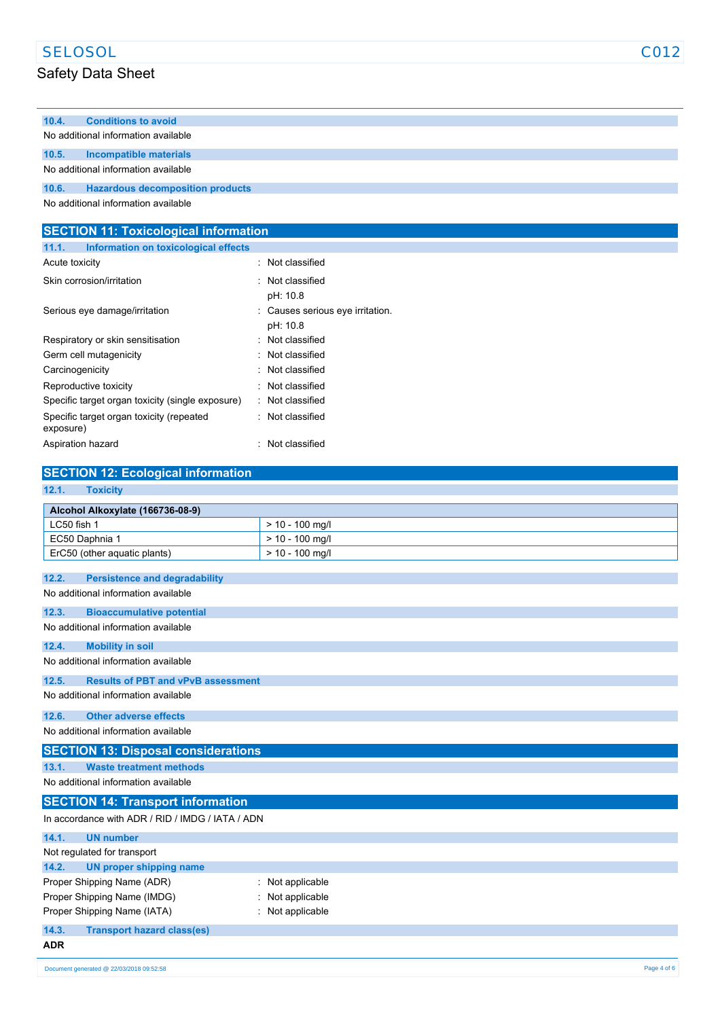| <b>SELOSOL</b> | C012 |
|----------------|------|
|----------------|------|

# Safety Data Sheet

| 10.4.                               | <b>Conditions to avoid</b>                        |  |
|-------------------------------------|---------------------------------------------------|--|
|                                     | No additional information available               |  |
| 10.5.                               | Incompatible materials                            |  |
|                                     | No additional information available               |  |
| 10.6.                               | <b>Example 3 Hazardous decomposition products</b> |  |
| No additional information available |                                                   |  |

| <b>SECTION 11: Toxicological information</b>          |                                              |
|-------------------------------------------------------|----------------------------------------------|
| Information on toxicological effects<br>11.1.         |                                              |
| Acute toxicity                                        | : Not classified                             |
| Skin corrosion/irritation                             | : Not classified<br>pH: 10.8                 |
| Serious eye damage/irritation                         | : Causes serious eye irritation.<br>pH: 10.8 |
| Respiratory or skin sensitisation                     | : Not classified                             |
| Germ cell mutagenicity                                | : Not classified                             |
| Carcinogenicity                                       | : Not classified                             |
| Reproductive toxicity                                 | : Not classified                             |
| Specific target organ toxicity (single exposure)      | : Not classified                             |
| Specific target organ toxicity (repeated<br>exposure) | : Not classified                             |
| Aspiration hazard                                     | : Not classified                             |

| <b>SECTION 12: Ecological information</b>          |                   |  |  |
|----------------------------------------------------|-------------------|--|--|
| 12.1.<br><b>Toxicity</b>                           |                   |  |  |
| Alcohol Alkoxylate (166736-08-9)                   |                   |  |  |
| LC50 fish 1                                        | $> 10 - 100$ mg/l |  |  |
| EC50 Daphnia 1                                     | $> 10 - 100$ mg/l |  |  |
| ErC50 (other aquatic plants)                       | $> 10 - 100$ mg/l |  |  |
| 12.2.<br><b>Persistence and degradability</b>      |                   |  |  |
| No additional information available                |                   |  |  |
| 12.3.<br><b>Bioaccumulative potential</b>          |                   |  |  |
| No additional information available                |                   |  |  |
| <b>Mobility in soil</b><br>12.4.                   |                   |  |  |
| No additional information available                |                   |  |  |
| <b>Results of PBT and vPvB assessment</b><br>12.5. |                   |  |  |
| No additional information available                |                   |  |  |
| 12.6.<br><b>Other adverse effects</b>              |                   |  |  |
| No additional information available                |                   |  |  |
| <b>SECTION 13: Disposal considerations</b>         |                   |  |  |
| 13.1.<br><b>Waste treatment methods</b>            |                   |  |  |
| No additional information available                |                   |  |  |
| <b>SECTION 14: Transport information</b>           |                   |  |  |
| In accordance with ADR / RID / IMDG / IATA / ADN   |                   |  |  |
| <b>UN number</b><br>14.1.                          |                   |  |  |
| Not regulated for transport                        |                   |  |  |
| 14.2.<br><b>UN proper shipping name</b>            |                   |  |  |
| Proper Shipping Name (ADR)<br>Not applicable       |                   |  |  |
| Proper Shipping Name (IMDG)<br>Not applicable      |                   |  |  |
| Proper Shipping Name (IATA)                        | Not applicable    |  |  |
| 14.3.<br><b>Transport hazard class(es)</b>         |                   |  |  |
| <b>ADR</b>                                         |                   |  |  |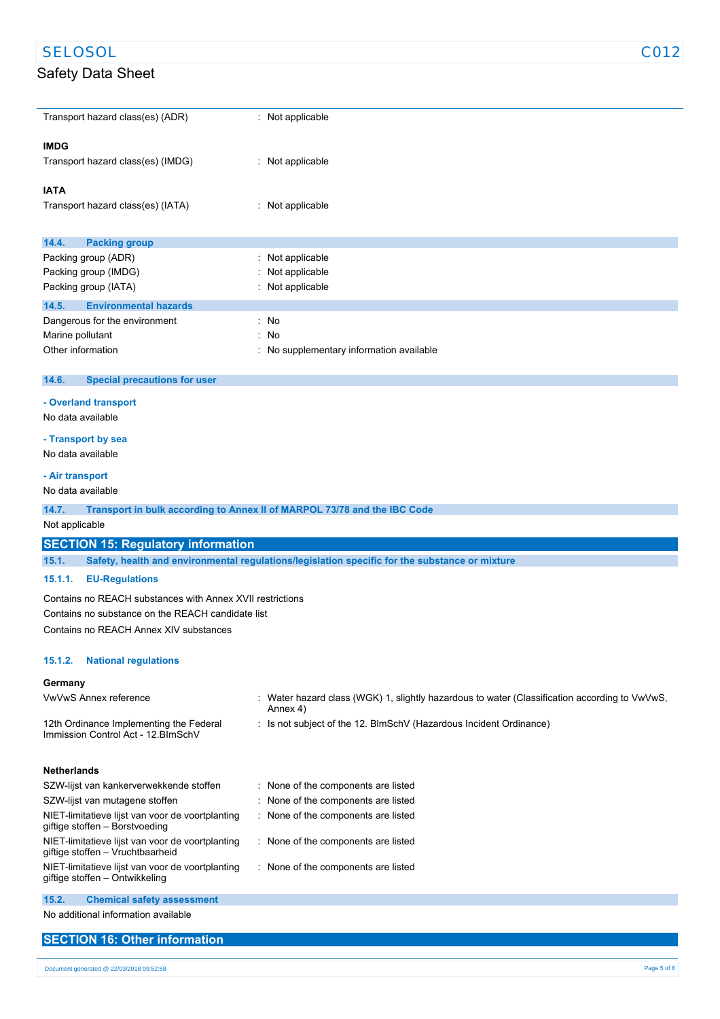### SELOSOL C012

### Safety Data Sheet

| Transport hazard class(es) (ADR)             | : Not applicable                         |
|----------------------------------------------|------------------------------------------|
| <b>IMDG</b>                                  |                                          |
| Transport hazard class(es) (IMDG)            | : Not applicable                         |
| <b>IATA</b>                                  |                                          |
| Transport hazard class(es) (IATA)            | : Not applicable                         |
|                                              |                                          |
| 14.4.<br><b>Packing group</b>                |                                          |
| Packing group (ADR)                          | : Not applicable                         |
| Packing group (IMDG)                         | : Not applicable                         |
| Packing group (IATA)                         | : Not applicable                         |
| <b>Environmental hazards</b><br>14.5.        |                                          |
| Dangerous for the environment                | : No                                     |
| Marine pollutant                             | : No                                     |
| Other information                            | : No supplementary information available |
| 14.6.<br><b>Special precautions for user</b> |                                          |

## **- Overland transport**

No data available

#### **- Transport by sea**

No data available

#### **- Air transport**

No data available

|  | 14.7. |  |  |  | <b>Transport in bulk according to Annex II of MARPOL 73/78 and the IBC Code</b> |
|--|-------|--|--|--|---------------------------------------------------------------------------------|
|--|-------|--|--|--|---------------------------------------------------------------------------------|

#### Not applicable

#### **SECTION 15: Regulatory information**

**15.1. Safety, health and environmental regulations/legislation specific for the substance or mixture**

#### **15.1.1. EU-Regulations**

Contains no REACH substances with Annex XVII restrictions Contains no substance on the REACH candidate list

Contains no REACH Annex XIV substances

#### **15.1.2. National regulations**

#### **Germany**

| <b>VwVwS Annex reference</b>                                                         |  | : Water hazard class (WGK) 1, slightly hazardous to water (Classification according to VwVwS,<br>Annex 4) |
|--------------------------------------------------------------------------------------|--|-----------------------------------------------------------------------------------------------------------|
| 12th Ordinance Implementing the Federal<br>Immission Control Act - 12 BlmSchV        |  | : Is not subject of the 12. BlmSchV (Hazardous Incident Ordinance)                                        |
| <b>Netherlands</b>                                                                   |  |                                                                                                           |
| SZW-lijst van kankerverwekkende stoffen                                              |  | : None of the components are listed                                                                       |
| SZW-lijst van mutagene stoffen                                                       |  | : None of the components are listed                                                                       |
| NIET-limitatieve lijst van voor de voortplanting<br>giftige stoffen - Borstvoeding   |  | : None of the components are listed                                                                       |
| NIET-limitatieve lijst van voor de voortplanting<br>giftige stoffen - Vruchtbaarheid |  | : None of the components are listed                                                                       |
| NIET-limitatieve lijst van voor de voortplanting<br>giftige stoffen – Ontwikkeling   |  | : None of the components are listed                                                                       |
| 15.2.<br><b>Chemical safety assessment</b>                                           |  |                                                                                                           |

No additional information available

### **SECTION 16: Other information**